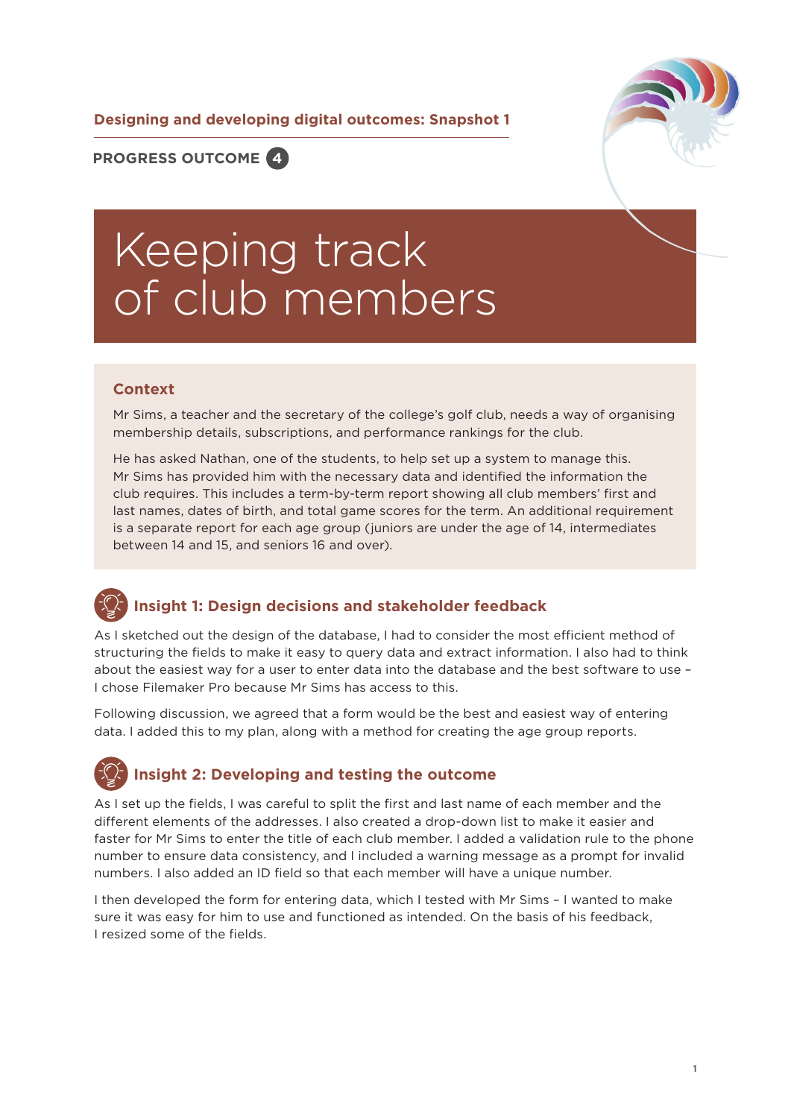**Designing and developing digital outcomes: Snapshot 1**



**PROGRESS OUTCOME 4**

## Keeping track of club members

## **Context**

Mr Sims, a teacher and the secretary of the college's golf club, needs a way of organising membership details, subscriptions, and performance rankings for the club.

He has asked Nathan, one of the students, to help set up a system to manage this. Mr Sims has provided him with the necessary data and identified the information the club requires. This includes a term-by-term report showing all club members' first and last names, dates of birth, and total game scores for the term. An additional requirement is a separate report for each age group (juniors are under the age of 14, intermediates between 14 and 15, and seniors 16 and over).

## **Insight 1: Design decisions and stakeholder feedback**

As I sketched out the design of the database, I had to consider the most efficient method of structuring the fields to make it easy to query data and extract information. I also had to think about the easiest way for a user to enter data into the database and the best software to use – I chose Filemaker Pro because Mr Sims has access to this.

Following discussion, we agreed that a form would be the best and easiest way of entering data. I added this to my plan, along with a method for creating the age group reports.

## **Insight 2: Developing and testing the outcome**

As I set up the fields, I was careful to split the first and last name of each member and the different elements of the addresses. I also created a drop-down list to make it easier and faster for Mr Sims to enter the title of each club member. I added a validation rule to the phone number to ensure data consistency, and I included a warning message as a prompt for invalid numbers. I also added an ID field so that each member will have a unique number.

I then developed the form for entering data, which I tested with Mr Sims – I wanted to make sure it was easy for him to use and functioned as intended. On the basis of his feedback, I resized some of the fields.